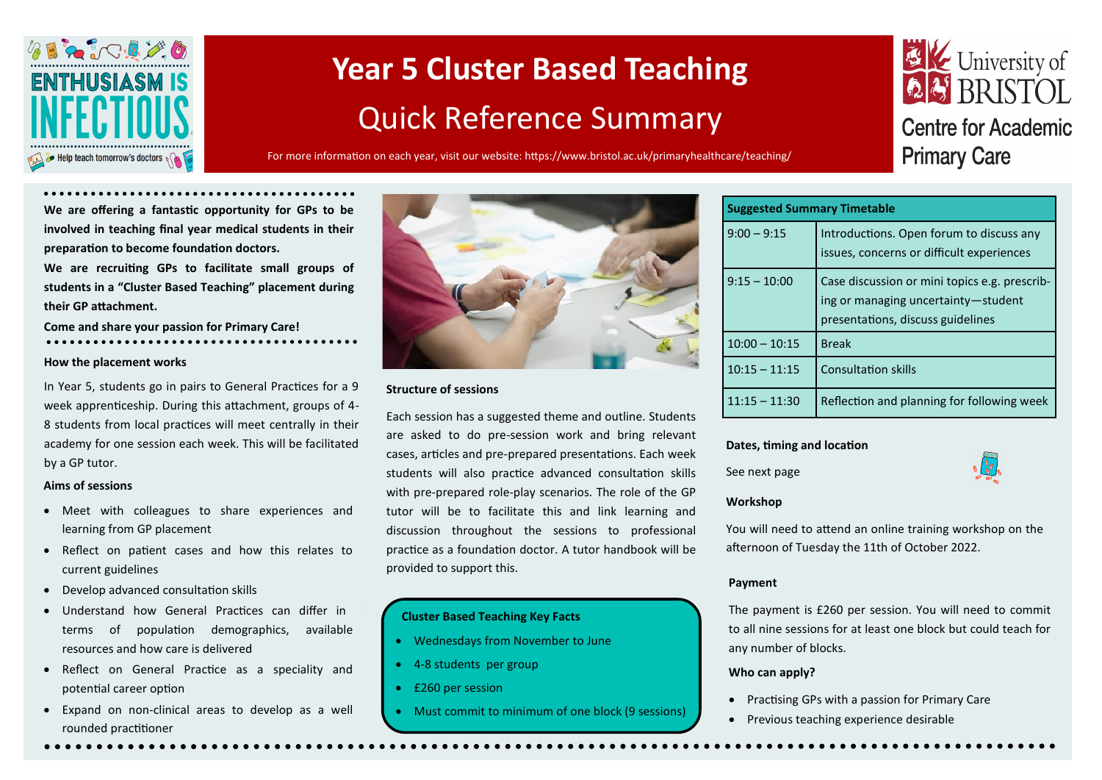

# **Year 5 Cluster Based Teaching**  Quick Reference Summary

For more information on each year, visit our website: https://www.bristol.ac.uk/primaryhealthcare/teaching/

## **EX** University of **Centre for Academic Primary Care**

**We are offering a fantastic opportunity for GPs to be involved in teaching final year medical students in their preparation to become foundation doctors.** 

**We are recruiting GPs to facilitate small groups of students in a "Cluster Based Teaching" placement during their GP attachment.**

**Come and share your passion for Primary Care!**

#### **How the placement works**

In Year 5, students go in pairs to General Practices for a 9 week apprenticeship. During this attachment, groups of 4- 8 students from local practices will meet centrally in their academy for one session each week. This will be facilitated by a GP tutor.

#### **Aims of sessions**

- Meet with colleagues to share experiences and learning from GP placement
- Reflect on patient cases and how this relates to current guidelines
- Develop advanced consultation skills
- Understand how General Practices can differ in terms of population demographics, available resources and how care is delivered
- Reflect on General Practice as a speciality and potential career option
- Expand on non-clinical areas to develop as a well rounded practitioner



#### **Structure of sessions**

Each session has a suggested theme and outline. Students are asked to do pre-session work and bring relevant cases, articles and pre-prepared presentations. Each week students will also practice advanced consultation skills with pre-prepared role-play scenarios. The role of the GP tutor will be to facilitate this and link learning and discussion throughout the sessions to professional practice as a foundation doctor. A tutor handbook will be provided to support this.

#### **Cluster Based Teaching Key Facts**

- Wednesdays from November to June
- 4-8 students per group
- £260 per session
- Must commit to minimum of one block (9 sessions)

| <b>Suggested Summary Timetable</b> |                                                                                                                           |  |  |  |
|------------------------------------|---------------------------------------------------------------------------------------------------------------------------|--|--|--|
| $9:00 - 9:15$                      | Introductions. Open forum to discuss any<br>issues, concerns or difficult experiences                                     |  |  |  |
| $9:15 - 10:00$                     | Case discussion or mini topics e.g. prescrib-<br>ing or managing uncertainty-student<br>presentations, discuss guidelines |  |  |  |
| $10:00 - 10:15$                    | <b>Break</b>                                                                                                              |  |  |  |
| $10:15 - 11:15$                    | <b>Consultation skills</b>                                                                                                |  |  |  |
| $11:15 - 11:30$                    | Reflection and planning for following week                                                                                |  |  |  |

#### **Dates, timing and location**

See next page



#### **Workshop**

You will need to attend an online training workshop on the afternoon of Tuesday the 11th of October 2022.

#### **Payment**

The payment is £260 per session. You will need to commit to all nine sessions for at least one block but could teach for any number of blocks.

#### **Who can apply?**

- Practising GPs with a passion for Primary Care
- Previous teaching experience desirable